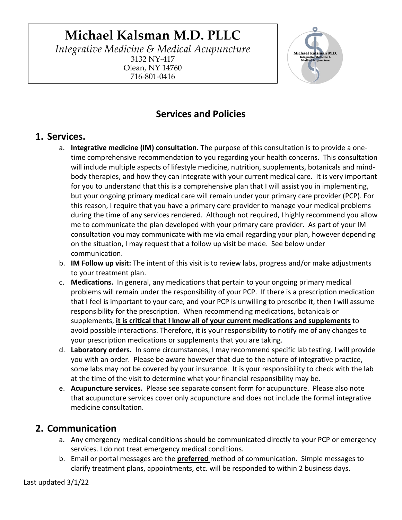# **Michael Kalsman M.D. PLLC**

*Integrative Medicine & Medical Acupuncture* 3132 NY-417 Olean, NY 14760 716-801-0416



# **Services and Policies**

### **1. Services.**

- a. **Integrative medicine (IM) consultation.** The purpose of this consultation is to provide a onetime comprehensive recommendation to you regarding your health concerns. This consultation will include multiple aspects of lifestyle medicine, nutrition, supplements, botanicals and mindbody therapies, and how they can integrate with your current medical care. It is very important for you to understand that this is a comprehensive plan that I will assist you in implementing, but your ongoing primary medical care will remain under your primary care provider (PCP). For this reason, I require that you have a primary care provider to manage your medical problems during the time of any services rendered. Although not required, I highly recommend you allow me to communicate the plan developed with your primary care provider. As part of your IM consultation you may communicate with me via email regarding your plan, however depending on the situation, I may request that a follow up visit be made. See below under communication.
- b. **IM Follow up visit:** The intent of this visit is to review labs, progress and/or make adjustments to your treatment plan.
- c. **Medications.** In general, any medications that pertain to your ongoing primary medical problems will remain under the responsibility of your PCP. If there is a prescription medication that I feel is important to your care, and your PCP is unwilling to prescribe it, then I will assume responsibility for the prescription. When recommending medications, botanicals or supplements, **it is critical that I know all of your current medications and supplements** to avoid possible interactions. Therefore, it is your responsibility to notify me of any changes to your prescription medications or supplements that you are taking.
- d. **Laboratory orders.** In some circumstances, I may recommend specific lab testing. I will provide you with an order. Please be aware however that due to the nature of integrative practice, some labs may not be covered by your insurance. It is your responsibility to check with the lab at the time of the visit to determine what your financial responsibility may be.
- e. **Acupuncture services.** Please see separate consent form for acupuncture. Please also note that acupuncture services cover only acupuncture and does not include the formal integrative medicine consultation.

## **2. Communication**

- a. Any emergency medical conditions should be communicated directly to your PCP or emergency services. I do not treat emergency medical conditions.
- b. Email or portal messages are the **preferred** method of communication. Simple messages to clarify treatment plans, appointments, etc. will be responded to within 2 business days.